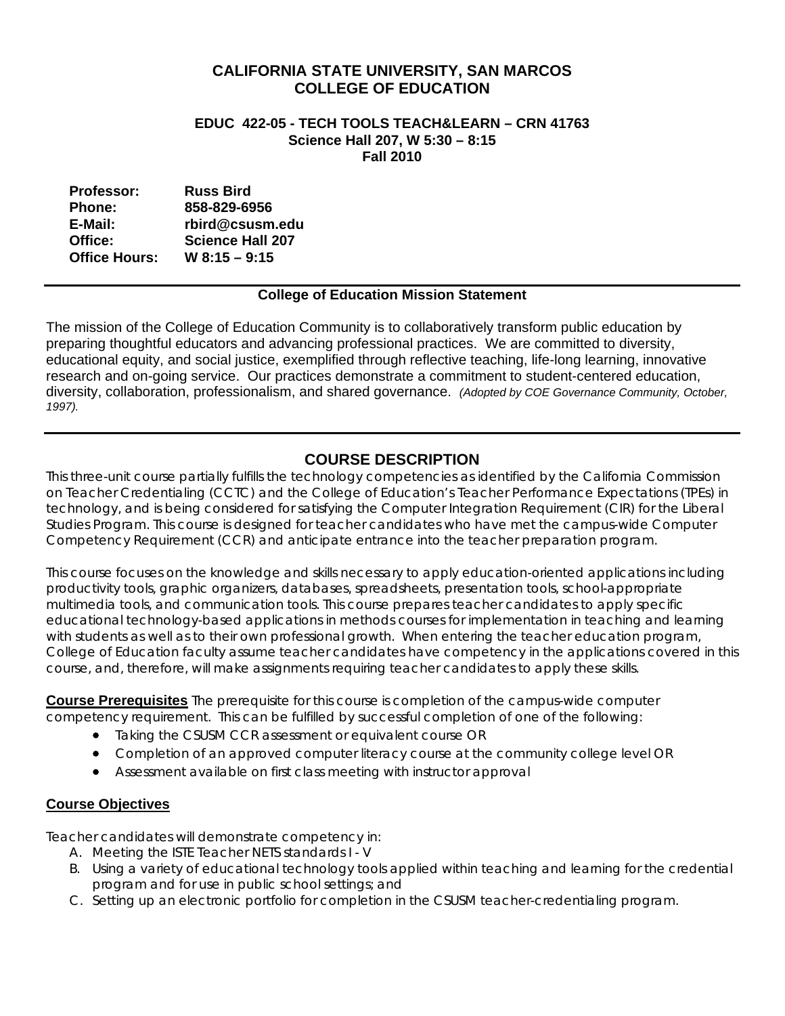# **CALIFORNIA STATE UNIVERSITY, SAN MARCOS COLLEGE OF EDUCATION**

#### **EDUC 422-05 - TECH TOOLS TEACH&LEARN – CRN 41763 Science Hall 207, W 5:30 – 8:15 Fall 2010**

| <b>Professor:</b>    | <b>Russ Bird</b>        |
|----------------------|-------------------------|
| <b>Phone:</b>        | 858-829-6956            |
| E-Mail:              | rbird@csusm.edu         |
| Office:              | <b>Science Hall 207</b> |
| <b>Office Hours:</b> | $W$ 8:15 - 9:15         |

## **College of Education Mission Statement**

The mission of the College of Education Community is to collaboratively transform public education by preparing thoughtful educators and advancing professional practices. We are committed to diversity, educational equity, and social justice, exemplified through reflective teaching, life-long learning, innovative research and on-going service. Our practices demonstrate a commitment to student-centered education, diversity, collaboration, professionalism, and shared governance. *(Adopted by COE Governance Community, October, 1997).* 

# **COURSE DESCRIPTION**

This three-unit course partially fulfills the technology competencies as identified by the California Commission on Teacher Credentialing (CCTC) and the College of Education's Teacher Performance Expectations (TPEs) in technology, and is being considered for satisfying the Computer Integration Requirement (CIR) for the Liberal Studies Program. This course is designed for teacher candidates who have met the campus-wide Computer Competency Requirement (CCR) and anticipate entrance into the teacher preparation program.

 course, and, therefore, will make assignments requiring teacher candidates to apply these skills. This course focuses on the knowledge and skills necessary to apply education-oriented applications including productivity tools, graphic organizers, databases, spreadsheets, presentation tools, school-appropriate multimedia tools, and communication tools. This course prepares teacher candidates to apply specific educational technology-based applications in methods courses for implementation in teaching and learning with students as well as to their own professional growth. When entering the teacher education program, College of Education faculty assume teacher candidates have competency in the applications covered in this

**Course Prerequisites** The prerequisite for this course is completion of the campus-wide computer competency requirement. This can be fulfilled by successful completion of one of the following:

- Taking the CSUSM CCR assessment or equivalent course OR
- Completion of an approved computer literacy course at the community college level OR
- Assessment available on first class meeting with instructor approval

## **Course Objectives**

Teacher candidates will demonstrate competency in:

- A. Meeting the ISTE Teacher NETS standards I V
- B. Using a variety of educational technology tools applied within teaching and learning for the credential program and for use in public school settings; and
- C. Setting up an electronic portfolio for completion in the CSUSM teacher-credentialing program.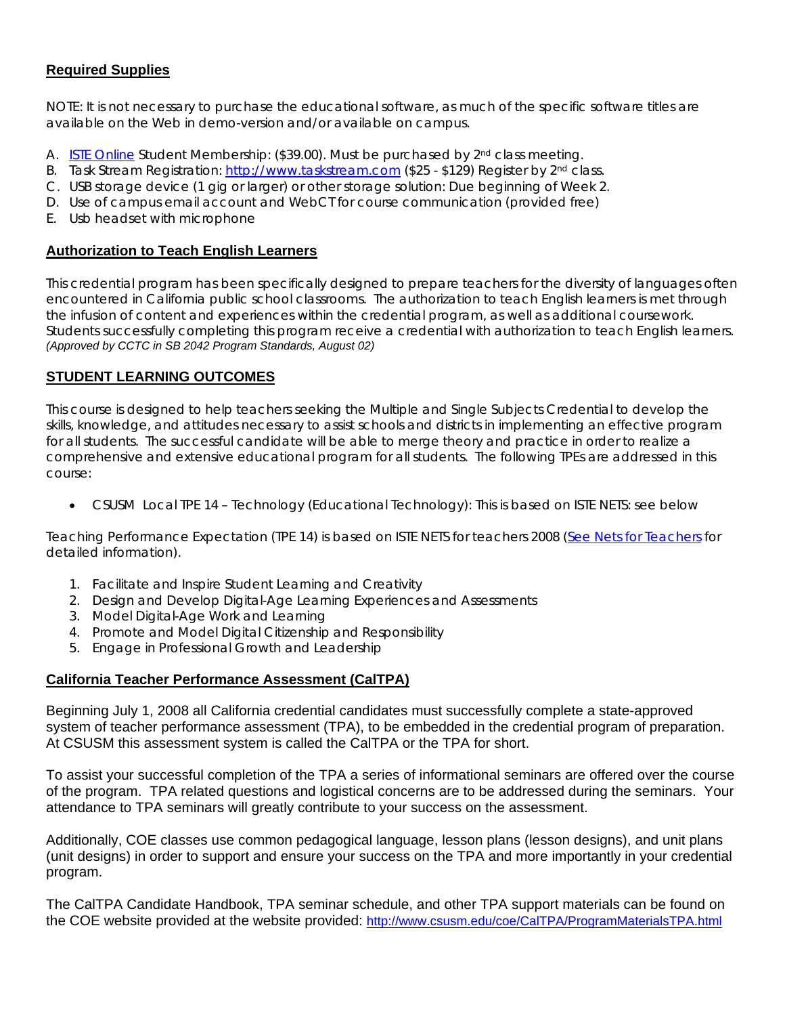# **Required Supplies**

NOTE: It is not necessary to purchase the educational software, as much of the specific software titles are available on the Web in demo-version and/or available on campus.

- A. ISTE Online Student Membership: (\$39.00). Must be purchased by 2<sup>nd</sup> class meeting.
- B. Task Stream Registration: http://www.taskstream.com (\$25 \$129) Register by 2<sup>nd</sup> class.
- C. USB storage device (1 gig or larger) or other storage solution: Due beginning of Week 2.
- D. Use of campus email account and WebCT for course communication (provided free)
- E. Usb headset with microphone

### **Authorization to Teach English Learners**

the infusion of content and experiences within the credential program, as well as additional coursework. This credential program has been specifically designed to prepare teachers for the diversity of languages often encountered in California public school classrooms. The authorization to teach English learners is met through Students successfully completing this program receive a credential with authorization to teach English learners. *(Approved by CCTC in SB 2042 Program Standards, August 02)* 

## **STUDENT LEARNING OUTCOMES**

This course is designed to help teachers seeking the Multiple and Single Subjects Credential to develop the skills, knowledge, and attitudes necessary to assist schools and districts in implementing an effective program for all students. The successful candidate will be able to merge theory and practice in order to realize a comprehensive and extensive educational program for all students. The following TPEs are addressed in this course:

• CSUSM Local TPE 14 – Technology (Educational Technology): This is based on ISTE NETS: see below

Teaching Performance Expectation (TPE 14) is based on ISTE NETS for teachers 2008 (See Nets for Teachers for detailed information).

- 1. Facilitate and Inspire Student Learning and Creativity
- 2. Design and Develop Digital-Age Learning Experiences and Assessments
- 3. Model Digital-Age Work and Learning
- 4. Promote and Model Digital Citizenship and Responsibility
- 5. Engage in Professional Growth and Leadership

## **California Teacher Performance Assessment (CalTPA)**

Beginning July 1, 2008 all California credential candidates must successfully complete a state-approved system of teacher performance assessment (TPA), to be embedded in the credential program of preparation. At CSUSM this assessment system is called the CalTPA or the TPA for short.

To assist your successful completion of the TPA a series of informational seminars are offered over the course of the program. TPA related questions and logistical concerns are to be addressed during the seminars. Your attendance to TPA seminars will greatly contribute to your success on the assessment.

Additionally, COE classes use common pedagogical language, lesson plans (lesson designs), and unit plans (unit designs) in order to support and ensure your success on the TPA and more importantly in your credential program.

the COE website provided at the website provided: http://www.csusm.edu/coe/CalTPA/ProgramMaterialsTPA.html The CalTPA Candidate Handbook, TPA seminar schedule, and other TPA support materials can be found on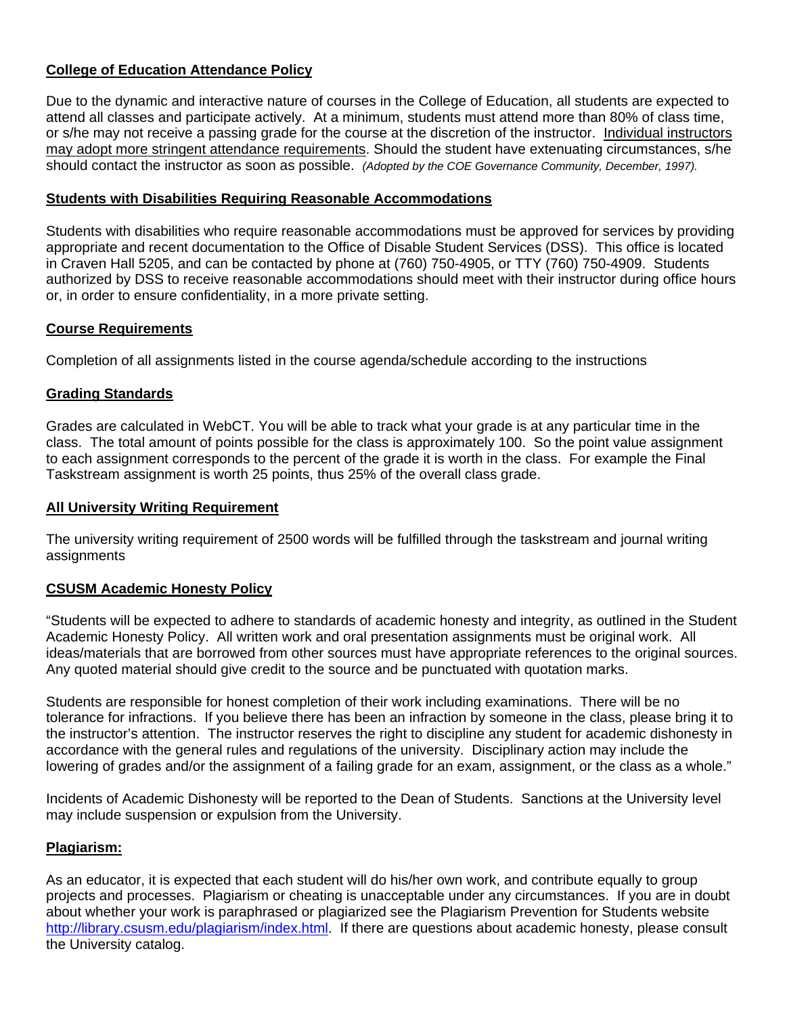# **College of Education Attendance Policy**

 should contact the instructor as soon as possible. *(Adopted by the COE Governance Community, December, 1997).* Due to the dynamic and interactive nature of courses in the College of Education, all students are expected to attend all classes and participate actively. At a minimum, students must attend more than 80% of class time, or s/he may not receive a passing grade for the course at the discretion of the instructor. Individual instructors may adopt more stringent attendance requirements. Should the student have extenuating circumstances, s/he

### **Students with Disabilities Requiring Reasonable Accommodations**

Students with disabilities who require reasonable accommodations must be approved for services by providing appropriate and recent documentation to the Office of Disable Student Services (DSS). This office is located in Craven Hall 5205, and can be contacted by phone at (760) 750-4905, or TTY (760) 750-4909. Students authorized by DSS to receive reasonable accommodations should meet with their instructor during office hours or, in order to ensure confidentiality, in a more private setting.

### **Course Requirements**

Completion of all assignments listed in the course agenda/schedule according to the instructions

### **Grading Standards**

Grades are calculated in WebCT. You will be able to track what your grade is at any particular time in the class. The total amount of points possible for the class is approximately 100. So the point value assignment to each assignment corresponds to the percent of the grade it is worth in the class. For example the Final Taskstream assignment is worth 25 points, thus 25% of the overall class grade.

### **All University Writing Requirement**

The university writing requirement of 2500 words will be fulfilled through the taskstream and journal writing assignments

#### **CSUSM Academic Honesty Policy**

"Students will be expected to adhere to standards of academic honesty and integrity, as outlined in the Student Academic Honesty Policy. All written work and oral presentation assignments must be original work. All ideas/materials that are borrowed from other sources must have appropriate references to the original sources. Any quoted material should give credit to the source and be punctuated with quotation marks.

Students are responsible for honest completion of their work including examinations. There will be no tolerance for infractions. If you believe there has been an infraction by someone in the class, please bring it to the instructor's attention. The instructor reserves the right to discipline any student for academic dishonesty in accordance with the general rules and regulations of the university. Disciplinary action may include the lowering of grades and/or the assignment of a failing grade for an exam, assignment, or the class as a whole."

Incidents of Academic Dishonesty will be reported to the Dean of Students. Sanctions at the University level may include suspension or expulsion from the University.

#### **Plagiarism:**

As an educator, it is expected that each student will do his/her own work, and contribute equally to group projects and processes. Plagiarism or cheating is unacceptable under any circumstances. If you are in doubt about whether your work is paraphrased or plagiarized see the Plagiarism Prevention for Students website http://library.csusm.edu/plagiarism/index.html. If there are questions about academic honesty, please consult the University catalog.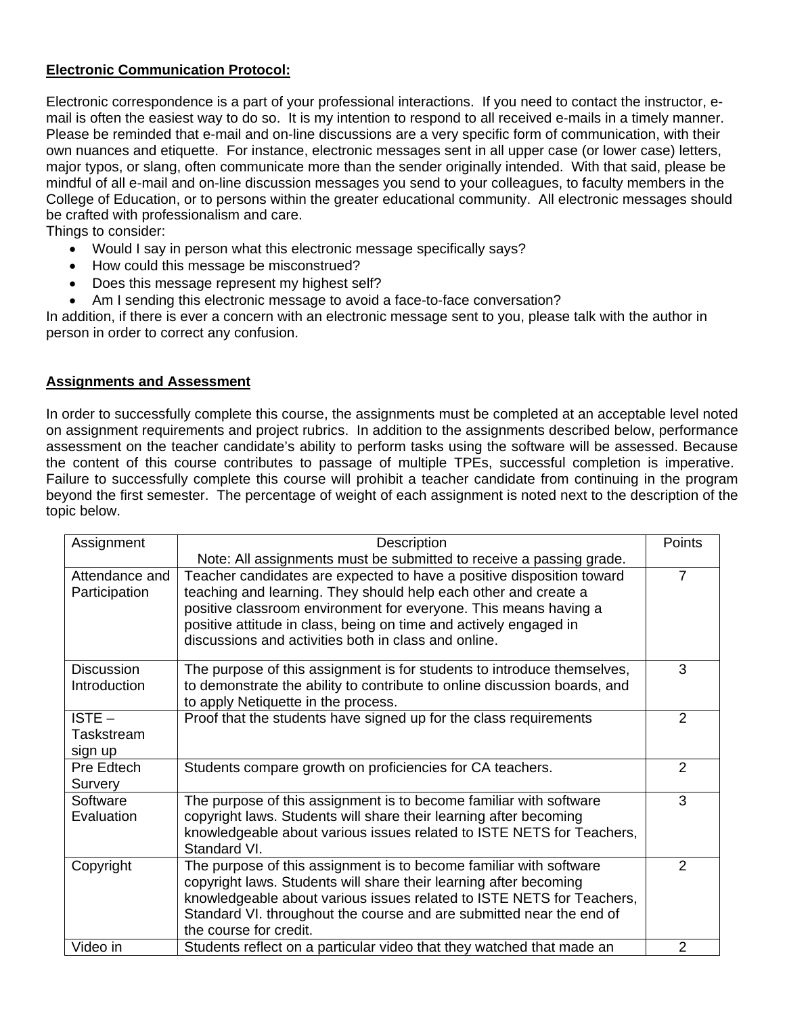## **Electronic Communication Protocol:**

Electronic correspondence is a part of your professional interactions. If you need to contact the instructor, email is often the easiest way to do so. It is my intention to respond to all received e-mails in a timely manner. Please be reminded that e-mail and on-line discussions are a very specific form of communication, with their own nuances and etiquette. For instance, electronic messages sent in all upper case (or lower case) letters, major typos, or slang, often communicate more than the sender originally intended. With that said, please be mindful of all e-mail and on-line discussion messages you send to your colleagues, to faculty members in the College of Education, or to persons within the greater educational community. All electronic messages should be crafted with professionalism and care.

Things to consider:

- Would I say in person what this electronic message specifically says?
- How could this message be misconstrued?
- Does this message represent my highest self?
- Am I sending this electronic message to avoid a face-to-face conversation?

In addition, if there is ever a concern with an electronic message sent to you, please talk with the author in person in order to correct any confusion.

### **Assignments and Assessment**

In order to successfully complete this course, the assignments must be completed at an acceptable level noted on assignment requirements and project rubrics. In addition to the assignments described below, performance assessment on the teacher candidate's ability to perform tasks using the software will be assessed. Because the content of this course contributes to passage of multiple TPEs, successful completion is imperative. Failure to successfully complete this course will prohibit a teacher candidate from continuing in the program beyond the first semester. The percentage of weight of each assignment is noted next to the description of the topic below.

| Assignment                        | Description                                                                                                                                                                                                                                                                                                                               | Points         |
|-----------------------------------|-------------------------------------------------------------------------------------------------------------------------------------------------------------------------------------------------------------------------------------------------------------------------------------------------------------------------------------------|----------------|
|                                   | Note: All assignments must be submitted to receive a passing grade.                                                                                                                                                                                                                                                                       |                |
| Attendance and<br>Participation   | Teacher candidates are expected to have a positive disposition toward<br>teaching and learning. They should help each other and create a<br>positive classroom environment for everyone. This means having a<br>positive attitude in class, being on time and actively engaged in<br>discussions and activities both in class and online. | $\overline{7}$ |
| <b>Discussion</b><br>Introduction | The purpose of this assignment is for students to introduce themselves,<br>to demonstrate the ability to contribute to online discussion boards, and<br>to apply Netiquette in the process.                                                                                                                                               | 3              |
| $ISTE -$<br>Taskstream<br>sign up | Proof that the students have signed up for the class requirements                                                                                                                                                                                                                                                                         | $\overline{2}$ |
| Pre Edtech<br>Survery             | Students compare growth on proficiencies for CA teachers.                                                                                                                                                                                                                                                                                 | 2              |
| Software<br>Evaluation            | The purpose of this assignment is to become familiar with software<br>copyright laws. Students will share their learning after becoming<br>knowledgeable about various issues related to ISTE NETS for Teachers,<br>Standard VI.                                                                                                          | 3              |
| Copyright                         | The purpose of this assignment is to become familiar with software<br>copyright laws. Students will share their learning after becoming<br>knowledgeable about various issues related to ISTE NETS for Teachers,<br>Standard VI. throughout the course and are submitted near the end of<br>the course for credit.                        | $\mathcal{P}$  |
| Video in                          | Students reflect on a particular video that they watched that made an                                                                                                                                                                                                                                                                     | $\overline{2}$ |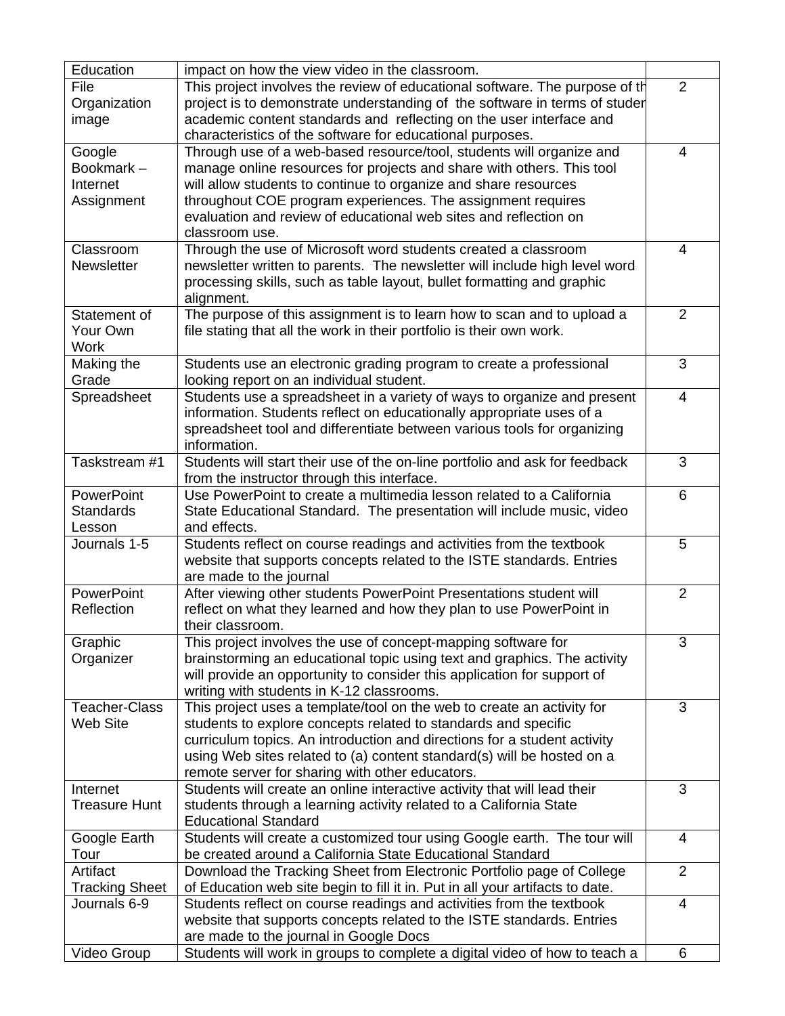| Education             | impact on how the view video in the classroom.                                         |                |
|-----------------------|----------------------------------------------------------------------------------------|----------------|
| File                  | This project involves the review of educational software. The purpose of th            | 2              |
| Organization          | project is to demonstrate understanding of the software in terms of studer             |                |
| image                 | academic content standards and reflecting on the user interface and                    |                |
|                       | characteristics of the software for educational purposes.                              |                |
| Google                | Through use of a web-based resource/tool, students will organize and                   | 4              |
| Bookmark-             | manage online resources for projects and share with others. This tool                  |                |
| Internet              | will allow students to continue to organize and share resources                        |                |
| Assignment            | throughout COE program experiences. The assignment requires                            |                |
|                       | evaluation and review of educational web sites and reflection on                       |                |
|                       | classroom use.                                                                         |                |
| Classroom             | Through the use of Microsoft word students created a classroom                         | 4              |
| Newsletter            | newsletter written to parents. The newsletter will include high level word             |                |
|                       | processing skills, such as table layout, bullet formatting and graphic                 |                |
|                       | alignment.                                                                             |                |
| Statement of          | The purpose of this assignment is to learn how to scan and to upload a                 | 2              |
| Your Own              | file stating that all the work in their portfolio is their own work.                   |                |
| <b>Work</b>           |                                                                                        |                |
| Making the            | Students use an electronic grading program to create a professional                    | 3              |
| Grade                 | looking report on an individual student.                                               |                |
| Spreadsheet           | Students use a spreadsheet in a variety of ways to organize and present                | 4              |
|                       | information. Students reflect on educationally appropriate uses of a                   |                |
|                       | spreadsheet tool and differentiate between various tools for organizing                |                |
|                       | information.                                                                           |                |
| Taskstream #1         | Students will start their use of the on-line portfolio and ask for feedback            | 3              |
|                       | from the instructor through this interface.                                            |                |
| PowerPoint            | Use PowerPoint to create a multimedia lesson related to a California                   | 6              |
| <b>Standards</b>      |                                                                                        |                |
| Lesson                | State Educational Standard. The presentation will include music, video<br>and effects. |                |
| Journals 1-5          | Students reflect on course readings and activities from the textbook                   | 5              |
|                       | website that supports concepts related to the ISTE standards. Entries                  |                |
|                       | are made to the journal                                                                |                |
| <b>PowerPoint</b>     | After viewing other students PowerPoint Presentations student will                     | $\overline{2}$ |
| Reflection            | reflect on what they learned and how they plan to use PowerPoint in                    |                |
|                       | their classroom.                                                                       |                |
| Graphic               | This project involves the use of concept-mapping software for                          | 3              |
| Organizer             | brainstorming an educational topic using text and graphics. The activity               |                |
|                       | will provide an opportunity to consider this application for support of                |                |
|                       | writing with students in K-12 classrooms.                                              |                |
| <b>Teacher-Class</b>  | This project uses a template/tool on the web to create an activity for                 | 3              |
| Web Site              | students to explore concepts related to standards and specific                         |                |
|                       | curriculum topics. An introduction and directions for a student activity               |                |
|                       | using Web sites related to (a) content standard(s) will be hosted on a                 |                |
|                       | remote server for sharing with other educators.                                        |                |
| Internet              | Students will create an online interactive activity that will lead their               | 3              |
| <b>Treasure Hunt</b>  | students through a learning activity related to a California State                     |                |
|                       | <b>Educational Standard</b>                                                            |                |
| Google Earth          | Students will create a customized tour using Google earth. The tour will               | 4              |
| Tour                  | be created around a California State Educational Standard                              |                |
| Artifact              |                                                                                        | $\overline{2}$ |
|                       | Download the Tracking Sheet from Electronic Portfolio page of College                  |                |
| <b>Tracking Sheet</b> | of Education web site begin to fill it in. Put in all your artifacts to date.          | $\overline{4}$ |
| Journals 6-9          | Students reflect on course readings and activities from the textbook                   |                |
|                       | website that supports concepts related to the ISTE standards. Entries                  |                |
|                       | are made to the journal in Google Docs                                                 |                |
| Video Group           | Students will work in groups to complete a digital video of how to teach a             | 6              |